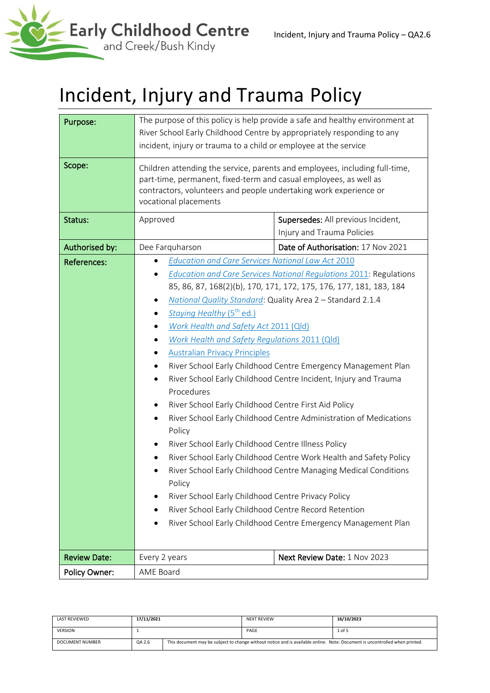

# Incident, Injury and Trauma Policy

| Purpose:             | The purpose of this policy is help provide a safe and healthy environment at<br>River School Early Childhood Centre by appropriately responding to any<br>incident, injury or trauma to a child or employee at the service                                                                                                                                                                                                                                                                                                                                                                                                                                                                                                                                                                                                                                                                                                                                                                                                                                                                                                                               |                                                                  |  |  |
|----------------------|----------------------------------------------------------------------------------------------------------------------------------------------------------------------------------------------------------------------------------------------------------------------------------------------------------------------------------------------------------------------------------------------------------------------------------------------------------------------------------------------------------------------------------------------------------------------------------------------------------------------------------------------------------------------------------------------------------------------------------------------------------------------------------------------------------------------------------------------------------------------------------------------------------------------------------------------------------------------------------------------------------------------------------------------------------------------------------------------------------------------------------------------------------|------------------------------------------------------------------|--|--|
| Scope:               | Children attending the service, parents and employees, including full-time,<br>part-time, permanent, fixed-term and casual employees, as well as<br>contractors, volunteers and people undertaking work experience or<br>vocational placements                                                                                                                                                                                                                                                                                                                                                                                                                                                                                                                                                                                                                                                                                                                                                                                                                                                                                                           |                                                                  |  |  |
| Status:              | Approved                                                                                                                                                                                                                                                                                                                                                                                                                                                                                                                                                                                                                                                                                                                                                                                                                                                                                                                                                                                                                                                                                                                                                 | Supersedes: All previous Incident,<br>Injury and Trauma Policies |  |  |
| Authorised by:       | Dee Farquharson                                                                                                                                                                                                                                                                                                                                                                                                                                                                                                                                                                                                                                                                                                                                                                                                                                                                                                                                                                                                                                                                                                                                          | Date of Authorisation: 17 Nov 2021                               |  |  |
| <b>References:</b>   | <b>Education and Care Services National Law Act 2010</b><br><b>Education and Care Services National Regulations 2011: Regulations</b><br>85, 86, 87, 168(2)(b), 170, 171, 172, 175, 176, 177, 181, 183, 184<br>National Quality Standard: Quality Area 2 - Standard 2.1.4<br>٠<br>Staying Healthy (5 <sup>th</sup> ed.)<br>Work Health and Safety Act 2011 (Qld)<br>Work Health and Safety Regulations 2011 (Qld)<br><b>Australian Privacy Principles</b><br>٠<br>River School Early Childhood Centre Emergency Management Plan<br>River School Early Childhood Centre Incident, Injury and Trauma<br>Procedures<br>River School Early Childhood Centre First Aid Policy<br>٠<br>River School Early Childhood Centre Administration of Medications<br>٠<br>Policy<br>River School Early Childhood Centre Illness Policy<br>River School Early Childhood Centre Work Health and Safety Policy<br>River School Early Childhood Centre Managing Medical Conditions<br>Policy<br>River School Early Childhood Centre Privacy Policy<br>River School Early Childhood Centre Record Retention<br>River School Early Childhood Centre Emergency Management Plan |                                                                  |  |  |
| <b>Review Date:</b>  | Every 2 years                                                                                                                                                                                                                                                                                                                                                                                                                                                                                                                                                                                                                                                                                                                                                                                                                                                                                                                                                                                                                                                                                                                                            | Next Review Date: 1 Nov 2023                                     |  |  |
| <b>Policy Owner:</b> | AME Board                                                                                                                                                                                                                                                                                                                                                                                                                                                                                                                                                                                                                                                                                                                                                                                                                                                                                                                                                                                                                                                                                                                                                |                                                                  |  |  |

| LAST REVIEWED   | 17/11/2021 |                                                                                                                             | <b>NEXT REVIEW</b> | 16/10/2023 |
|-----------------|------------|-----------------------------------------------------------------------------------------------------------------------------|--------------------|------------|
| <b>VERSION</b>  |            |                                                                                                                             | PAGE               | 1 of 5     |
| DOCUMENT NUMBER | QA 2.6     | This document may be subject to change without notice and is available online. Note: Document is uncontrolled when printed. |                    |            |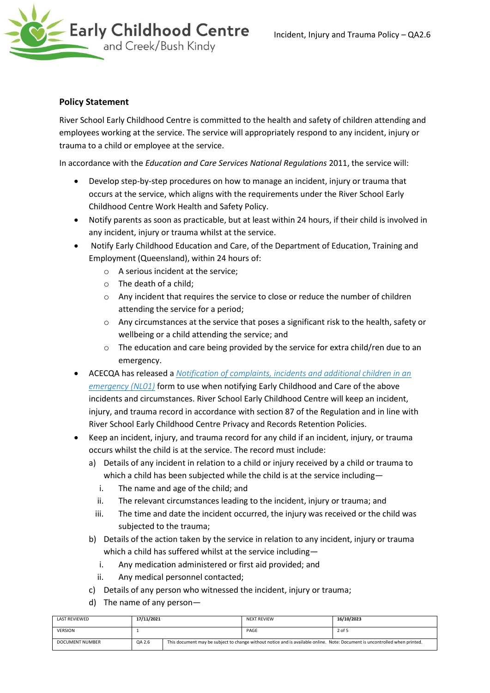

## **Policy Statement**

River School Early Childhood Centre is committed to the health and safety of children attending and employees working at the service. The service will appropriately respond to any incident, injury or trauma to a child or employee at the service.

In accordance with the *Education and Care Services National Regulations* 2011, the service will:

- Develop step-by-step procedures on how to manage an incident, injury or trauma that occurs at the service, which aligns with the requirements under the River School Early Childhood Centre Work Health and Safety Policy.
- Notify parents as soon as practicable, but at least within 24 hours, if their child is involved in any incident, injury or trauma whilst at the service.
- Notify Early Childhood Education and Care, of the Department of Education, Training and Employment (Queensland), within 24 hours of:
	- o A serious incident at the service;
	- o The death of a child;
	- $\circ$  Any incident that requires the service to close or reduce the number of children attending the service for a period;
	- o Any circumstances at the service that poses a significant risk to the health, safety or wellbeing or a child attending the service; and
	- o The education and care being provided by the service for extra child/ren due to an emergency.
- ACECQA has released a *[Notification of complaints, incidents and additional children in an](http://files.acecqa.gov.au/files/2014%20Application%20Foms/Notifications/NL01_NotificationOfComplaintsAndIncidents_v11.pdf)  [emergency \(NL01\)](http://files.acecqa.gov.au/files/2014%20Application%20Foms/Notifications/NL01_NotificationOfComplaintsAndIncidents_v11.pdf)* form to use when notifying Early Childhood and Care of the above incidents and circumstances. River School Early Childhood Centre will keep an incident, injury, and trauma record in accordance with section 87 of the Regulation and in line with River School Early Childhood Centre Privacy and Records Retention Policies.
- Keep an incident, injury, and trauma record for any child if an incident, injury, or trauma occurs whilst the child is at the service. The record must include:
	- a) Details of any incident in relation to a child or injury received by a child or trauma to which a child has been subjected while the child is at the service including
		- i. The name and age of the child; and
		- ii. The relevant circumstances leading to the incident, injury or trauma; and
		- iii. The time and date the incident occurred, the injury was received or the child was subjected to the trauma;
	- b) Details of the action taken by the service in relation to any incident, injury or trauma which a child has suffered whilst at the service including
		- i. Any medication administered or first aid provided; and
		- ii. Any medical personnel contacted;
	- c) Details of any person who witnessed the incident, injury or trauma;
	- d) The name of any person—

| LAST REVIEWED   | 17/11/2021 |                                                                                                                             | <b>NEXT REVIEW</b> | 16/10/2023 |
|-----------------|------------|-----------------------------------------------------------------------------------------------------------------------------|--------------------|------------|
| <b>VERSION</b>  |            |                                                                                                                             | PAGE               | 2 of 5     |
| DOCUMENT NUMBER | QA 2.6     | This document may be subject to change without notice and is available online. Note: Document is uncontrolled when printed. |                    |            |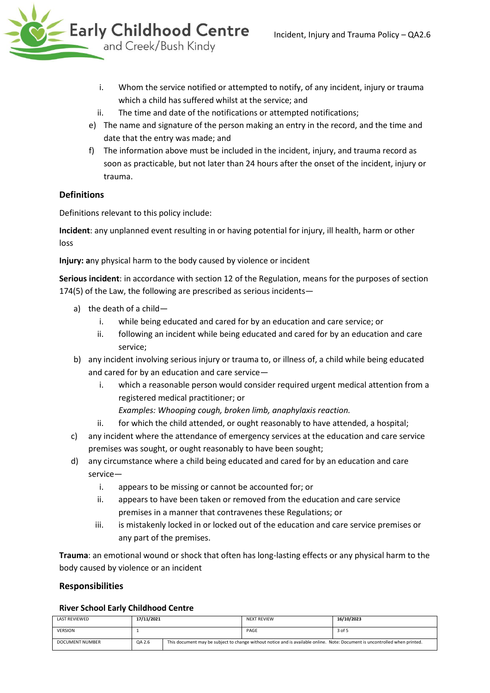- i. Whom the service notified or attempted to notify, of any incident, injury or trauma which a child has suffered whilst at the service; and
- ii. The time and date of the notifications or attempted notifications;
- e) The name and signature of the person making an entry in the record, and the time and date that the entry was made; and
- f) The information above must be included in the incident, injury, and trauma record as soon as practicable, but not later than 24 hours after the onset of the incident, injury or trauma.

# **Definitions**

Definitions relevant to this policy include:

**Incident**: any unplanned event resulting in or having potential for injury, ill health, harm or other loss

**Injury: a**ny physical harm to the body caused by violence or incident

**Serious incident**: in accordance with section 12 of the Regulation, means for the purposes of section 174(5) of the Law, the following are prescribed as serious incidents—

- a) the death of a child
	- i. while being educated and cared for by an education and care service; or
	- ii. following an incident while being educated and cared for by an education and care service;
- b) any incident involving serious injury or trauma to, or illness of, a child while being educated and cared for by an education and care service
	- i. which a reasonable person would consider required urgent medical attention from a registered medical practitioner; or

*Examples: Whooping cough, broken limb, anaphylaxis reaction.*

- ii. for which the child attended, or ought reasonably to have attended, a hospital;
- c) any incident where the attendance of emergency services at the education and care service premises was sought, or ought reasonably to have been sought;
- d) any circumstance where a child being educated and cared for by an education and care service
	- i. appears to be missing or cannot be accounted for; or
	- ii. appears to have been taken or removed from the education and care service premises in a manner that contravenes these Regulations; or
	- iii. is mistakenly locked in or locked out of the education and care service premises or any part of the premises.

**Trauma**: an emotional wound or shock that often has long-lasting effects or any physical harm to the body caused by violence or an incident

#### **Responsibilities**

#### **River School Early Childhood Centre**

| LAST REVIEWED          | 17/11/2021 |                                                                                                                             | <b>NEXT REVIEW</b> | 16/10/2023 |
|------------------------|------------|-----------------------------------------------------------------------------------------------------------------------------|--------------------|------------|
| <b>VERSION</b>         |            |                                                                                                                             | PAGE               | 3 of 5     |
| <b>DOCUMENT NUMBER</b> | QA 2.6     | This document may be subject to change without notice and is available online. Note: Document is uncontrolled when printed. |                    |            |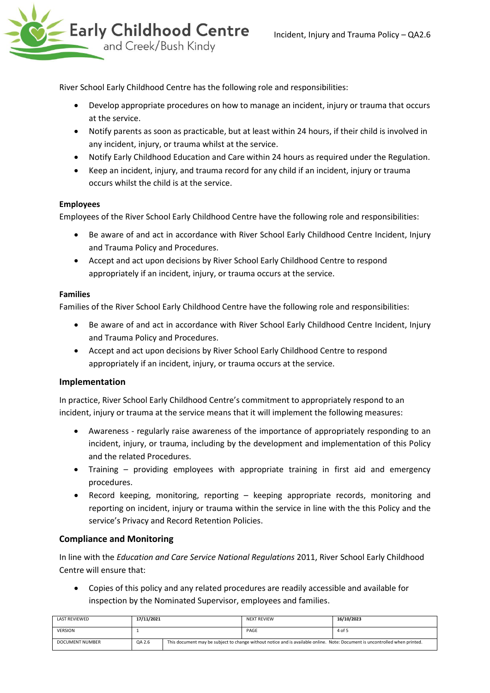River School Early Childhood Centre has the following role and responsibilities:

- Develop appropriate procedures on how to manage an incident, injury or trauma that occurs at the service.
- Notify parents as soon as practicable, but at least within 24 hours, if their child is involved in any incident, injury, or trauma whilst at the service.
- Notify Early Childhood Education and Care within 24 hours as required under the Regulation.
- Keep an incident, injury, and trauma record for any child if an incident, injury or trauma occurs whilst the child is at the service.

#### **Employees**

Employees of the River School Early Childhood Centre have the following role and responsibilities:

- Be aware of and act in accordance with River School Early Childhood Centre Incident, Injury and Trauma Policy and Procedures.
- Accept and act upon decisions by River School Early Childhood Centre to respond appropriately if an incident, injury, or trauma occurs at the service.

#### **Families**

Families of the River School Early Childhood Centre have the following role and responsibilities:

- Be aware of and act in accordance with River School Early Childhood Centre Incident, Injury and Trauma Policy and Procedures.
- Accept and act upon decisions by River School Early Childhood Centre to respond appropriately if an incident, injury, or trauma occurs at the service.

## **Implementation**

In practice, River School Early Childhood Centre's commitment to appropriately respond to an incident, injury or trauma at the service means that it will implement the following measures:

- Awareness regularly raise awareness of the importance of appropriately responding to an incident, injury, or trauma, including by the development and implementation of this Policy and the related Procedures.
- Training providing employees with appropriate training in first aid and emergency procedures.
- Record keeping, monitoring, reporting keeping appropriate records, monitoring and reporting on incident, injury or trauma within the service in line with the this Policy and the service's Privacy and Record Retention Policies.

## **Compliance and Monitoring**

In line with the *Education and Care Service National Regulations* 2011, River School Early Childhood Centre will ensure that:

• Copies of this policy and any related procedures are readily accessible and available for inspection by the Nominated Supervisor, employees and families.

| <b>LAST REVIEWED</b> | 17/11/2021 |                                                                                                                             | <b>NEXT REVIEW</b> | 16/10/2023 |
|----------------------|------------|-----------------------------------------------------------------------------------------------------------------------------|--------------------|------------|
| <b>VERSION</b>       |            |                                                                                                                             | PAGE               | 4 of 5     |
| DOCUMENT NUMBER      | QA 2.6     | This document may be subject to change without notice and is available online. Note: Document is uncontrolled when printed. |                    |            |